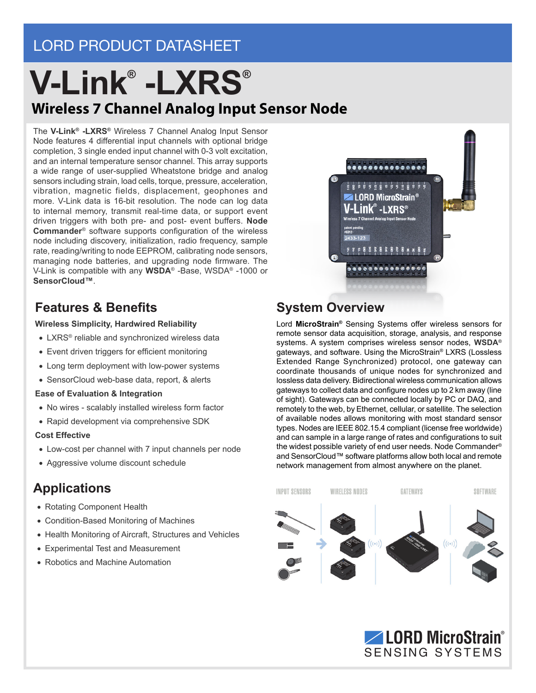## LORD PRODUCT DATASHEET

## **Wireless 7 Channel Analog Input Sensor Node V-Link® -LXRS®**

The **V-Link® -LXRS®** Wireless 7 Channel Analog Input Sensor Node features 4 differential input channels with optional bridge completion, 3 single ended input channel with 0-3 volt excitation, and an internal temperature sensor channel. This array supports a wide range of user-supplied Wheatstone bridge and analog sensors including strain, load cells, torque, pressure, acceleration, vibration, magnetic fields, displacement, geophones and more. V-Link data is 16-bit resolution. The node can log data to internal memory, transmit real-time data, or support event driven triggers with both pre- and post- event buffers. **Node Commander**® software supports configuration of the wireless node including discovery, initialization, radio frequency, sample rate, reading/writing to node EEPROM, calibrating node sensors, managing node batteries, and upgrading node firmware. The V-Link is compatible with any **WSDA**® -Base, WSDA® -1000 or **SensorCloud™**.

#### **Features & Benefits System Overview**

#### **Wireless Simplicity, Hardwired Reliability**

- LXRS<sup>®</sup> reliable and synchronized wireless data
- Event driven triggers for efficient monitoring
- Long term deployment with low-power systems
- SensorCloud web-base data, report, & alerts

#### **Ease of Evaluation & Integration**

- No wires scalably installed wireless form factor
- Rapid development via comprehensive SDK

#### **Cost Effective**

- Low-cost per channel with 7 input channels per node
- Aggressive volume discount schedule

## **Applications**

- Rotating Component Health
- Condition-Based Monitoring of Machines
- Health Monitoring of Aircraft, Structures and Vehicles
- Experimental Test and Measurement • Robotics and Machine Automation

# **ZALORD MicroStrain®** V-Link® -Lxrs®

Lord **MicroStrain®** Sensing Systems offer wireless sensors for remote sensor data acquisition, storage, analysis, and response systems. A system comprises wireless sensor nodes, **WSDA®** gateways, and software. Using the MicroStrain® LXRS (Lossless Extended Range Synchronized) protocol, one gateway can coordinate thousands of unique nodes for synchronized and lossless data delivery. Bidirectional wireless communication allows gateways to collect data and configure nodes up to 2 km away (line of sight). Gateways can be connected locally by PC or DAQ, and remotely to the web, by Ethernet, cellular, or satellite. The selection of available nodes allows monitoring with most standard sensor types. Nodes are IEEE 802.15.4 compliant (license free worldwide) and can sample in a large range of rates and configurations to suit the widest possible variety of end user needs. Node Commander® and SensorCloud™ software platforms allow both local and remote network management from almost anywhere on the planet.



**LORD MicroStrain ®** SENSING SYSTEMS